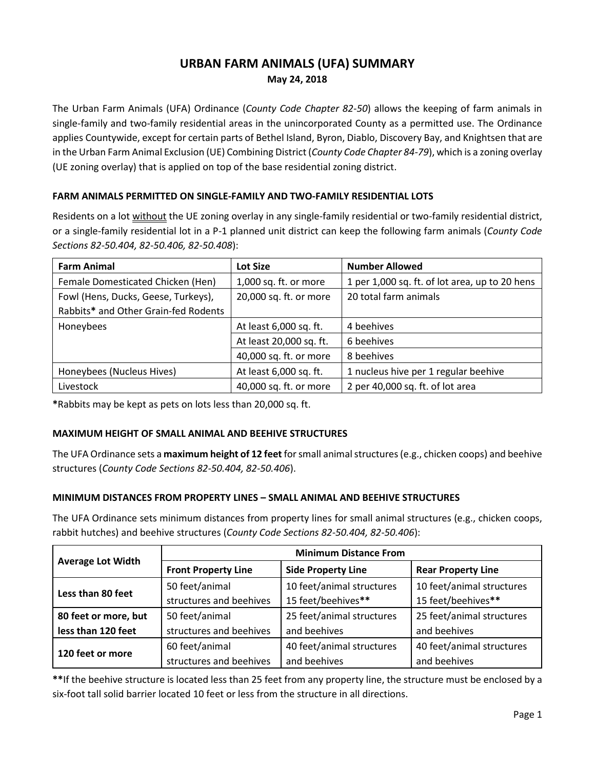# **URBAN FARM ANIMALS (UFA) SUMMARY May 24, 2018**

The Urban Farm Animals (UFA) Ordinance (*County Code Chapter 82-50*) allows the keeping of farm animals in single-family and two-family residential areas in the unincorporated County as a permitted use. The Ordinance applies Countywide, except for certain parts of Bethel Island, Byron, Diablo, Discovery Bay, and Knightsen that are in the Urban Farm Animal Exclusion (UE) Combining District (*County Code Chapter 84-79*), which is a zoning overlay (UE zoning overlay) that is applied on top of the base residential zoning district.

## **FARM ANIMALS PERMITTED ON SINGLE-FAMILY AND TWO-FAMILY RESIDENTIAL LOTS**

Residents on a lot without the UE zoning overlay in any single-family residential or two-family residential district, or a single-family residential lot in a P-1 planned unit district can keep the following farm animals (*County Code Sections 82-50.404, 82-50.406, 82-50.408*):

| <b>Farm Animal</b>                   | Lot Size                | <b>Number Allowed</b>                          |  |
|--------------------------------------|-------------------------|------------------------------------------------|--|
| Female Domesticated Chicken (Hen)    | 1,000 sq. ft. or more   | 1 per 1,000 sq. ft. of lot area, up to 20 hens |  |
| Fowl (Hens, Ducks, Geese, Turkeys),  | 20,000 sq. ft. or more  | 20 total farm animals                          |  |
| Rabbits* and Other Grain-fed Rodents |                         |                                                |  |
| Honeybees                            | At least 6,000 sq. ft.  | 4 beehives                                     |  |
|                                      | At least 20,000 sq. ft. | 6 beehives                                     |  |
|                                      | 40,000 sq. ft. or more  | 8 beehives                                     |  |
| Honeybees (Nucleus Hives)            | At least 6,000 sq. ft.  | 1 nucleus hive per 1 regular beehive           |  |
| Livestock                            | 40,000 sq. ft. or more  | 2 per 40,000 sq. ft. of lot area               |  |

**\***Rabbits may be kept as pets on lots less than 20,000 sq. ft.

# **MAXIMUM HEIGHT OF SMALL ANIMAL AND BEEHIVE STRUCTURES**

The UFA Ordinance sets a **maximum height of 12 feet** for small animal structures (e.g., chicken coops) and beehive structures (*County Code Sections 82-50.404, 82-50.406*).

# **MINIMUM DISTANCES FROM PROPERTY LINES – SMALL ANIMAL AND BEEHIVE STRUCTURES**

The UFA Ordinance sets minimum distances from property lines for small animal structures (e.g., chicken coops, rabbit hutches) and beehive structures (*County Code Sections 82-50.404, 82-50.406*):

|                                        | <b>Minimum Distance From</b> |                           |                           |  |
|----------------------------------------|------------------------------|---------------------------|---------------------------|--|
| <b>Average Lot Width</b>               | <b>Front Property Line</b>   | <b>Side Property Line</b> | <b>Rear Property Line</b> |  |
| Less than 80 feet                      | 50 feet/animal               | 10 feet/animal structures | 10 feet/animal structures |  |
|                                        | structures and beehives      | 15 feet/beehives**        | 15 feet/beehives**        |  |
| 50 feet/animal<br>80 feet or more, but |                              | 25 feet/animal structures | 25 feet/animal structures |  |
| less than 120 feet                     | structures and beehives      | and beehives              | and beehives              |  |
| 120 feet or more                       | 60 feet/animal               | 40 feet/animal structures | 40 feet/animal structures |  |
|                                        | structures and beehives      | and beehives              | and beehives              |  |

**\*\***If the beehive structure is located less than 25 feet from any property line, the structure must be enclosed by a six-foot tall solid barrier located 10 feet or less from the structure in all directions.